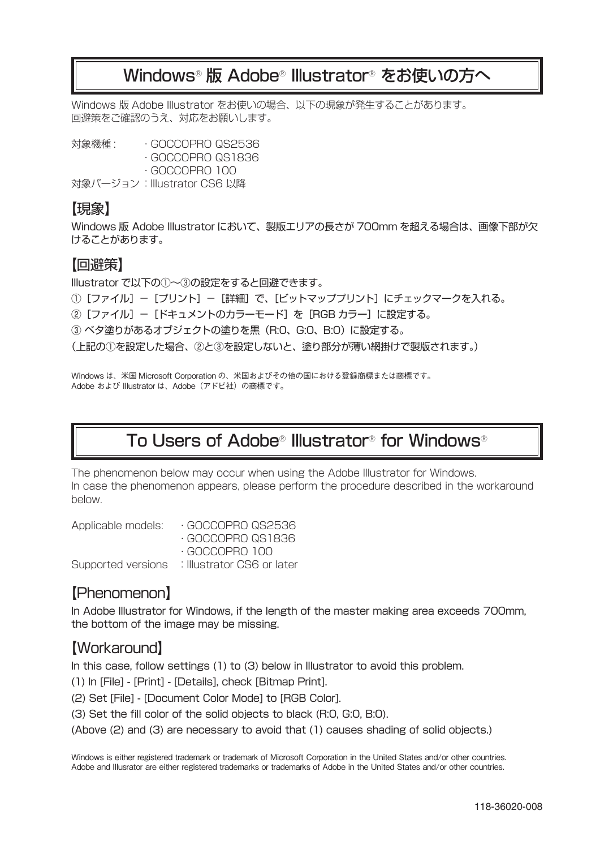### Windows® 版 Adobe® Illustrator® をお使いの方へ

Windows 版 Adobe Illustrator をお使いの場合、以下の現象が発生することがあります。 回避策をご確認のうえ、対応をお願いします。

対象機種 : ・GOCCOPRO QS2536 ・GOCCOPRO QS1836 ・GOCCOPRO 100 対象バージョン: Illustrator CS6 以降

#### 【現象】

Windows 版 Adobe Illustrator において、製版エリアの長さが 700mm を超える場合は、画像下部が欠 けることがあります。

#### 【回避策】

Illustrator で以下の①~③の設定をすると回避できます。

- ①[ファイル]-[プリント]-[詳細]で、[ビットマッププリント]にチェックマークを入れる。
- 2 [ファイル] [ドキュメントのカラーモード] を [RGB カラー] に設定する。

③ ベタ塗りがあるオブジェクトの塗りを黒(R:0、G:0、B:0)に設定する。

(上記の①を設定した場合、②と③を設定しないと、塗り部分が薄い網掛けで製版されます。)

Windows は、米国 Microsoft Corporation の、米国およびその他の国における登録商標または商標です。 Adobe および Illustrator は、Adobe (アドビ社)の商標です。

# To Users of Adobe® Illustrator® for Windows®

The phenomenon below may occur when using the Adobe Illustrator for Windows. In case the phenomenon appears, please perform the procedure described in the workaround below.

| GOCCOPRO QS2536            |
|----------------------------|
| GOCCOPRO QS1836            |
| $\cdot$ GOCCOPRO 100.      |
| : Illustrator CS6 or later |
|                            |

### 【Phenomenon】

In Adobe Illustrator for Windows, if the length of the master making area exceeds 700mm, the bottom of the image may be missing.

### 【Workaround】

In this case, follow settings (1) to (3) below in Illustrator to avoid this problem.

(1) In [File] - [Print] - [Details], check [Bitmap Print].

(2) Set [File] - [Document Color Mode] to [RGB Color].

(3) Set the fill color of the solid objects to black (R:0, G:0, B:0).

(Above (2) and (3) are necessary to avoid that (1) causes shading of solid objects.)

Windows is either registered trademark or trademark of Microsoft Corporation in the United States and/or other countries. Adobe and Illusrator are either registered trademarks or trademarks of Adobe in the United States and/or other countries.